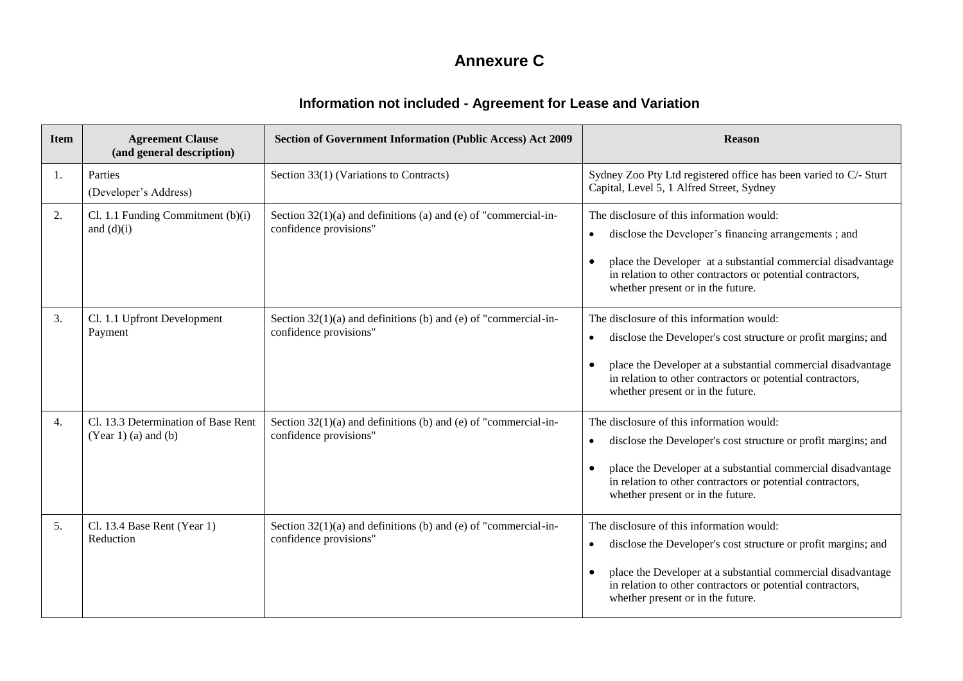## **Annexure C**

## **Information not included - Agreement for Lease and Variation**

| <b>Item</b> | <b>Agreement Clause</b><br>(and general description)          | <b>Section of Government Information (Public Access) Act 2009</b>                           | <b>Reason</b>                                                                                                                                                                                                                                                                               |
|-------------|---------------------------------------------------------------|---------------------------------------------------------------------------------------------|---------------------------------------------------------------------------------------------------------------------------------------------------------------------------------------------------------------------------------------------------------------------------------------------|
| 1.          | Parties<br>(Developer's Address)                              | Section 33(1) (Variations to Contracts)                                                     | Sydney Zoo Pty Ltd registered office has been varied to C/- Sturt<br>Capital, Level 5, 1 Alfred Street, Sydney                                                                                                                                                                              |
| 2.          | Cl. 1.1 Funding Commitment $(b)(i)$<br>and $(d)(i)$           | Section $32(1)(a)$ and definitions (a) and (e) of "commercial-in-<br>confidence provisions" | The disclosure of this information would:<br>disclose the Developer's financing arrangements; and<br>$\bullet$<br>place the Developer at a substantial commercial disadvantage<br>in relation to other contractors or potential contractors,<br>whether present or in the future.           |
| 3.          | Cl. 1.1 Upfront Development<br>Payment                        | Section $32(1)(a)$ and definitions (b) and (e) of "commercial-in-<br>confidence provisions" | The disclosure of this information would:<br>disclose the Developer's cost structure or profit margins; and<br>$\bullet$<br>place the Developer at a substantial commercial disadvantage<br>in relation to other contractors or potential contractors,<br>whether present or in the future. |
| 4.          | Cl. 13.3 Determination of Base Rent<br>$(Year 1)$ (a) and (b) | Section $32(1)(a)$ and definitions (b) and (e) of "commercial-in-<br>confidence provisions" | The disclosure of this information would:<br>disclose the Developer's cost structure or profit margins; and<br>$\bullet$<br>place the Developer at a substantial commercial disadvantage<br>in relation to other contractors or potential contractors,<br>whether present or in the future. |
| 5.          | Cl. 13.4 Base Rent (Year 1)<br>Reduction                      | Section $32(1)(a)$ and definitions (b) and (e) of "commercial-in-<br>confidence provisions" | The disclosure of this information would:<br>disclose the Developer's cost structure or profit margins; and<br>$\bullet$<br>place the Developer at a substantial commercial disadvantage<br>in relation to other contractors or potential contractors,<br>whether present or in the future. |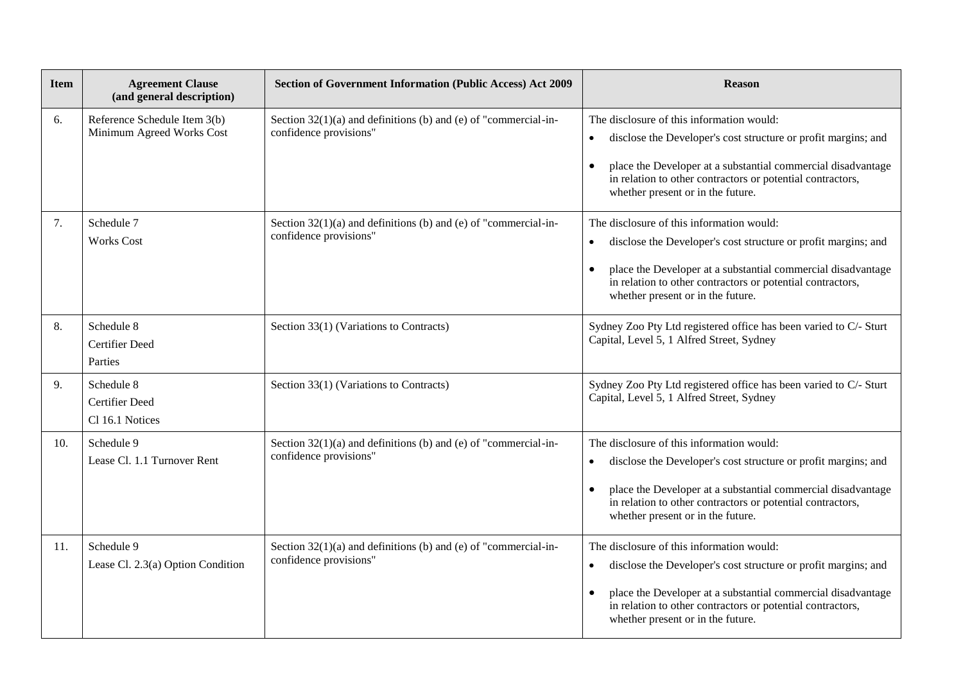| <b>Item</b> | <b>Agreement Clause</b><br>(and general description)      | <b>Section of Government Information (Public Access) Act 2009</b>                           | <b>Reason</b>                                                                                                                                                                                                                                                                  |
|-------------|-----------------------------------------------------------|---------------------------------------------------------------------------------------------|--------------------------------------------------------------------------------------------------------------------------------------------------------------------------------------------------------------------------------------------------------------------------------|
| 6.          | Reference Schedule Item 3(b)<br>Minimum Agreed Works Cost | Section $32(1)(a)$ and definitions (b) and (e) of "commercial-in-<br>confidence provisions" | The disclosure of this information would:<br>disclose the Developer's cost structure or profit margins; and<br>place the Developer at a substantial commercial disadvantage<br>in relation to other contractors or potential contractors,<br>whether present or in the future. |
| 7.          | Schedule 7<br><b>Works Cost</b>                           | Section $32(1)(a)$ and definitions (b) and (e) of "commercial-in-<br>confidence provisions" | The disclosure of this information would:<br>disclose the Developer's cost structure or profit margins; and<br>place the Developer at a substantial commercial disadvantage<br>in relation to other contractors or potential contractors,<br>whether present or in the future. |
| 8.          | Schedule 8<br><b>Certifier Deed</b><br>Parties            | Section 33(1) (Variations to Contracts)                                                     | Sydney Zoo Pty Ltd registered office has been varied to C/- Sturt<br>Capital, Level 5, 1 Alfred Street, Sydney                                                                                                                                                                 |
| 9.          | Schedule 8<br>Certifier Deed<br>Cl 16.1 Notices           | Section 33(1) (Variations to Contracts)                                                     | Sydney Zoo Pty Ltd registered office has been varied to C/- Sturt<br>Capital, Level 5, 1 Alfred Street, Sydney                                                                                                                                                                 |
| 10.         | Schedule 9<br>Lease Cl. 1.1 Turnover Rent                 | Section $32(1)(a)$ and definitions (b) and (e) of "commercial-in-<br>confidence provisions" | The disclosure of this information would:<br>disclose the Developer's cost structure or profit margins; and<br>place the Developer at a substantial commercial disadvantage<br>in relation to other contractors or potential contractors,<br>whether present or in the future. |
| 11.         | Schedule 9<br>Lease Cl. 2.3(a) Option Condition           | Section $32(1)(a)$ and definitions (b) and (e) of "commercial-in-<br>confidence provisions" | The disclosure of this information would:<br>disclose the Developer's cost structure or profit margins; and<br>place the Developer at a substantial commercial disadvantage<br>in relation to other contractors or potential contractors,<br>whether present or in the future. |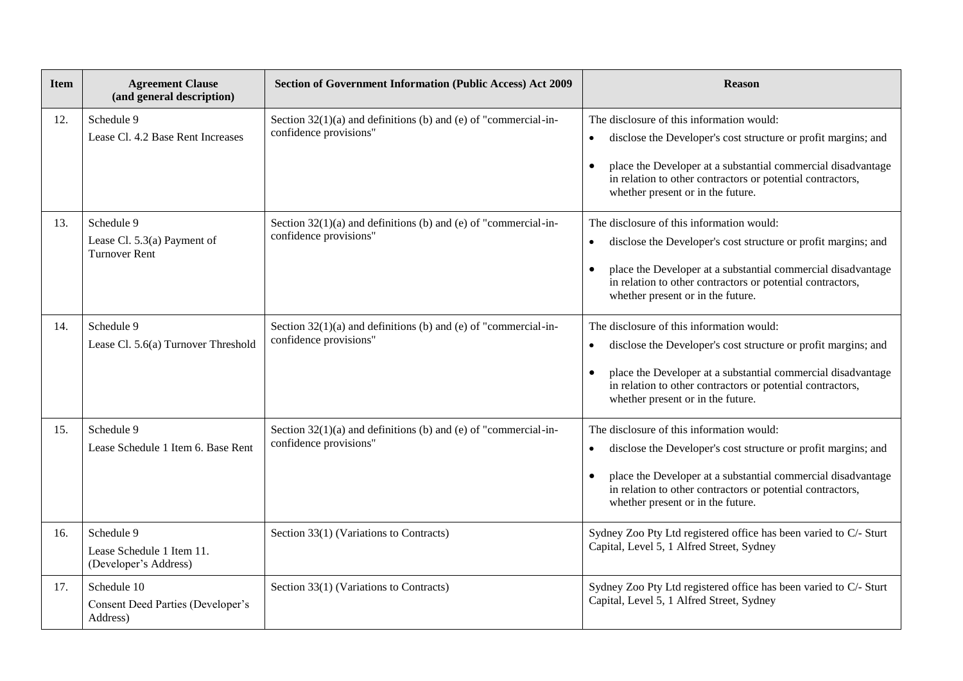| <b>Item</b> | <b>Agreement Clause</b><br>(and general description)              | <b>Section of Government Information (Public Access) Act 2009</b>                           | <b>Reason</b>                                                                                                                                                                                                                                                                                            |
|-------------|-------------------------------------------------------------------|---------------------------------------------------------------------------------------------|----------------------------------------------------------------------------------------------------------------------------------------------------------------------------------------------------------------------------------------------------------------------------------------------------------|
| 12.         | Schedule 9<br>Lease Cl. 4.2 Base Rent Increases                   | Section $32(1)(a)$ and definitions (b) and (e) of "commercial-in-<br>confidence provisions" | The disclosure of this information would:<br>disclose the Developer's cost structure or profit margins; and<br>place the Developer at a substantial commercial disadvantage<br>in relation to other contractors or potential contractors,<br>whether present or in the future.                           |
| 13.         | Schedule 9<br>Lease Cl. 5.3(a) Payment of<br><b>Turnover Rent</b> | Section $32(1)(a)$ and definitions (b) and (e) of "commercial-in-<br>confidence provisions" | The disclosure of this information would:<br>disclose the Developer's cost structure or profit margins; and<br>place the Developer at a substantial commercial disadvantage<br>in relation to other contractors or potential contractors,<br>whether present or in the future.                           |
| 14.         | Schedule 9<br>Lease Cl. 5.6(a) Turnover Threshold                 | Section $32(1)(a)$ and definitions (b) and (e) of "commercial-in-<br>confidence provisions" | The disclosure of this information would:<br>disclose the Developer's cost structure or profit margins; and<br>$\bullet$<br>place the Developer at a substantial commercial disadvantage<br>$\bullet$<br>in relation to other contractors or potential contractors,<br>whether present or in the future. |
| 15.         | Schedule 9<br>Lease Schedule 1 Item 6. Base Rent                  | Section $32(1)(a)$ and definitions (b) and (e) of "commercial-in-<br>confidence provisions" | The disclosure of this information would:<br>disclose the Developer's cost structure or profit margins; and<br>place the Developer at a substantial commercial disadvantage<br>in relation to other contractors or potential contractors,<br>whether present or in the future.                           |
| 16.         | Schedule 9<br>Lease Schedule 1 Item 11.<br>(Developer's Address)  | Section 33(1) (Variations to Contracts)                                                     | Sydney Zoo Pty Ltd registered office has been varied to C/- Sturt<br>Capital, Level 5, 1 Alfred Street, Sydney                                                                                                                                                                                           |
| 17.         | Schedule 10<br>Consent Deed Parties (Developer's<br>Address)      | Section 33(1) (Variations to Contracts)                                                     | Sydney Zoo Pty Ltd registered office has been varied to C/- Sturt<br>Capital, Level 5, 1 Alfred Street, Sydney                                                                                                                                                                                           |